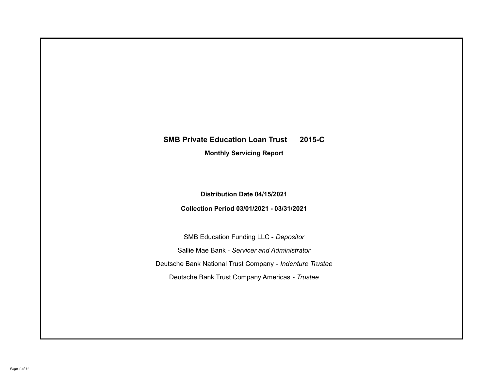# **SMB Private Education Loan Trust 2015-C**

**Monthly Servicing Report**

**Distribution Date 04/15/2021**

**Collection Period 03/01/2021 - 03/31/2021**

SMB Education Funding LLC - *Depositor* Sallie Mae Bank - *Servicer and Administrator* Deutsche Bank National Trust Company - *Indenture Trustee* Deutsche Bank Trust Company Americas - *Trustee*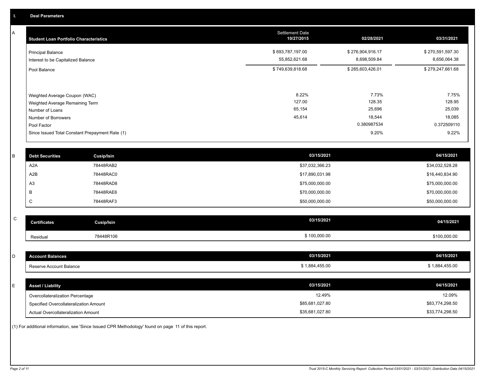A

| <b>Student Loan Portfolio Characteristics</b>                                                                             | <b>Settlement Date</b><br>10/27/2015 | 02/28/2021                                         | 03/31/2021                                         |
|---------------------------------------------------------------------------------------------------------------------------|--------------------------------------|----------------------------------------------------|----------------------------------------------------|
| <b>Principal Balance</b><br>Interest to be Capitalized Balance                                                            | \$693,787,197.00<br>55,852,621.68    | \$276,904,916.17<br>8,698,509.84                   | \$270,591,597.30<br>8,656,064.38                   |
| Pool Balance                                                                                                              | \$749,639,818.68                     | \$285,603,426.01                                   | \$279,247,661.68                                   |
| Weighted Average Coupon (WAC)<br>Weighted Average Remaining Term<br>Number of Loans<br>Number of Borrowers<br>Pool Factor | 8.22%<br>127.00<br>65,154<br>45,614  | 7.73%<br>128.35<br>25,696<br>18,544<br>0.380987534 | 7.75%<br>128.95<br>25,039<br>18,085<br>0.372509110 |
| Since Issued Total Constant Prepayment Rate (1)                                                                           |                                      | 9.20%                                              | 9.22%                                              |

| <b>Debt Securities</b> | <b>Cusip/Isin</b> | 03/15/2021      | 04/15/2021      |
|------------------------|-------------------|-----------------|-----------------|
| A2A                    | 78448RAB2         | \$37,032,366.23 | \$34,032,528.28 |
| A2B                    | 78448RAC0         | \$17,890,031.98 | \$16,440,834.90 |
| A <sub>3</sub>         | 78448RAD8         | \$75,000,000.00 | \$75,000,000.00 |
|                        | 78448RAE6         | \$70,000,000.00 | \$70,000,000.00 |
| ◡                      | 78448RAF3         | \$50,000,000.00 | \$50,000,000.00 |

| v<br>۰,     |
|-------------|
| ł<br>٦<br>٦ |

| C  | <b>Certificates</b>                    | <b>Cusip/Isin</b> | 03/15/2021      | 04/15/2021      |
|----|----------------------------------------|-------------------|-----------------|-----------------|
|    | Residual                               | 78448R106         | \$100,000.00    | \$100,000.00    |
|    |                                        |                   |                 |                 |
| D  | <b>Account Balances</b>                |                   | 03/15/2021      | 04/15/2021      |
|    | Reserve Account Balance                |                   | \$1,884,455.00  | \$1,884,455.00  |
|    |                                        |                   |                 |                 |
| E. | <b>Asset / Liability</b>               |                   | 03/15/2021      | 04/15/2021      |
|    | Overcollateralization Percentage       |                   | 12.49%          | 12.09%          |
|    | Specified Overcollateralization Amount |                   | \$85,681,027.80 | \$83,774,298.50 |

Actual Overcollateralization Amount \$35,681,027.80

(1) For additional information, see 'Since Issued CPR Methodology' found on page 11 of this report.

\$33,774,298.50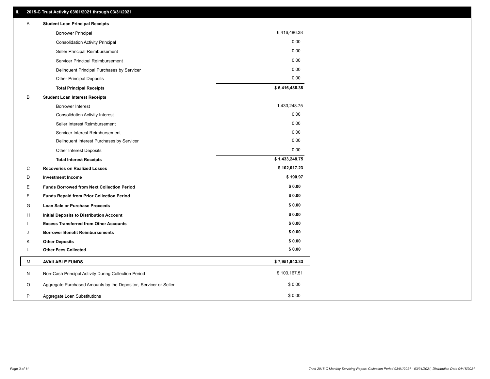| <b>Borrower Principal</b>                                             | 6,416,486.38   |
|-----------------------------------------------------------------------|----------------|
|                                                                       |                |
| <b>Consolidation Activity Principal</b>                               | 0.00           |
| Seller Principal Reimbursement                                        | 0.00           |
| Servicer Principal Reimbursement                                      | 0.00           |
| Delinquent Principal Purchases by Servicer                            | 0.00           |
| <b>Other Principal Deposits</b>                                       | 0.00           |
| <b>Total Principal Receipts</b>                                       | \$6,416,486.38 |
| в<br><b>Student Loan Interest Receipts</b>                            |                |
| <b>Borrower Interest</b>                                              | 1,433,248.75   |
| <b>Consolidation Activity Interest</b>                                | 0.00           |
| Seller Interest Reimbursement                                         | 0.00           |
| Servicer Interest Reimbursement                                       | 0.00           |
| Delinquent Interest Purchases by Servicer                             | 0.00           |
| Other Interest Deposits                                               | 0.00           |
| <b>Total Interest Receipts</b>                                        | \$1,433,248.75 |
| C<br><b>Recoveries on Realized Losses</b>                             | \$102,017.23   |
| D<br><b>Investment Income</b>                                         | \$190.97       |
| Е<br><b>Funds Borrowed from Next Collection Period</b>                | \$0.00         |
| F<br><b>Funds Repaid from Prior Collection Period</b>                 | \$0.00         |
| G<br><b>Loan Sale or Purchase Proceeds</b>                            | \$0.00         |
| н<br><b>Initial Deposits to Distribution Account</b>                  | \$0.00         |
| <b>Excess Transferred from Other Accounts</b>                         | \$0.00         |
| <b>Borrower Benefit Reimbursements</b><br>J                           | \$0.00         |
| <b>Other Deposits</b><br>Κ                                            | \$0.00         |
| <b>Other Fees Collected</b><br>L                                      | \$0.00         |
| <b>AVAILABLE FUNDS</b><br>М                                           | \$7,951,943.33 |
| N<br>Non-Cash Principal Activity During Collection Period             | \$103,167.51   |
| Aggregate Purchased Amounts by the Depositor, Servicer or Seller<br>O | \$0.00         |
| P<br>Aggregate Loan Substitutions                                     | \$0.00         |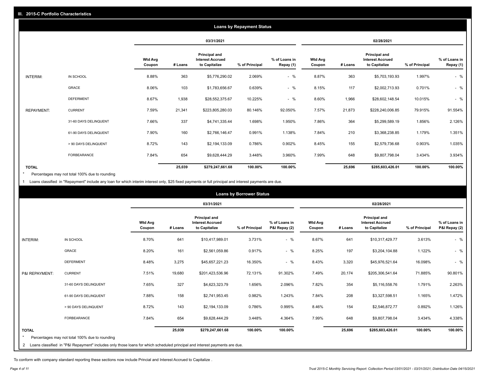|                   | <b>Loans by Repayment Status</b> |                          |         |                                                           |                |                            |                   |         |                                                           |                |                            |
|-------------------|----------------------------------|--------------------------|---------|-----------------------------------------------------------|----------------|----------------------------|-------------------|---------|-----------------------------------------------------------|----------------|----------------------------|
|                   |                                  |                          |         | 03/31/2021                                                |                |                            |                   |         | 02/28/2021                                                |                |                            |
|                   |                                  | <b>Wtd Avg</b><br>Coupon | # Loans | Principal and<br><b>Interest Accrued</b><br>to Capitalize | % of Principal | % of Loans in<br>Repay (1) | Wtd Avg<br>Coupon | # Loans | Principal and<br><b>Interest Accrued</b><br>to Capitalize | % of Principal | % of Loans in<br>Repay (1) |
| INTERIM:          | IN SCHOOL                        | 8.88%                    | 363     | \$5,776,290.02                                            | 2.069%         | $-$ %                      | 8.87%             | 363     | \$5,703,193.93                                            | 1.997%         | $-$ %                      |
|                   | GRACE                            | 8.06%                    | 103     | \$1,783,656.67                                            | 0.639%         | $-$ %                      | 8.15%             | 117     | \$2,002,713.93                                            | 0.701%         | $-$ %                      |
|                   | <b>DEFERMENT</b>                 | 8.67%                    | 1,938   | \$28,552,375.67                                           | 10.225%        | $-$ %                      | 8.60%             | 1,966   | \$28,602,148.54                                           | 10.015%        | $-$ %                      |
| <b>REPAYMENT:</b> | <b>CURRENT</b>                   | 7.59%                    | 21,341  | \$223,805,280.03                                          | 80.146%        | 92.050%                    | 7.57%             | 21,873  | \$228,240,006.85                                          | 79.915%        | 91.554%                    |
|                   | 31-60 DAYS DELINQUENT            | 7.66%                    | 337     | \$4,741,335.44                                            | 1.698%         | 1.950%                     | 7.86%             | 364     | \$5,299,589.19                                            | 1.856%         | 2.126%                     |
|                   | 61-90 DAYS DELINQUENT            | 7.90%                    | 160     | \$2,766,146.47                                            | 0.991%         | 1.138%                     | 7.84%             | 210     | \$3,368,238.85                                            | 1.179%         | 1.351%                     |
|                   | > 90 DAYS DELINQUENT             | 8.72%                    | 143     | \$2,194,133.09                                            | 0.786%         | 0.902%                     | 8.45%             | 155     | \$2,579,736.68                                            | 0.903%         | 1.035%                     |
|                   | FORBEARANCE                      | 7.84%                    | 654     | \$9,628,444.29                                            | 3.448%         | 3.960%                     | 7.99%             | 648     | \$9,807,798.04                                            | 3.434%         | 3.934%                     |
| <b>TOTAL</b>      |                                  |                          | 25,039  | \$279,247,661.68                                          | 100.00%        | 100.00%                    |                   | 25,696  | \$285,603,426.01                                          | 100.00%        | 100.00%                    |

Percentages may not total 100% due to rounding \*

1 Loans classified in "Repayment" include any loan for which interim interest only, \$25 fixed payments or full principal and interest payments are due.

|                | <b>Loans by Borrower Status</b>                                                                                            |                          |         |                                                                  |                |                                |                          |         |                                                           |                |                                |
|----------------|----------------------------------------------------------------------------------------------------------------------------|--------------------------|---------|------------------------------------------------------------------|----------------|--------------------------------|--------------------------|---------|-----------------------------------------------------------|----------------|--------------------------------|
|                |                                                                                                                            |                          |         | 03/31/2021                                                       |                |                                |                          |         | 02/28/2021                                                |                |                                |
|                |                                                                                                                            | <b>Wtd Avg</b><br>Coupon | # Loans | <b>Principal and</b><br><b>Interest Accrued</b><br>to Capitalize | % of Principal | % of Loans in<br>P&I Repay (2) | <b>Wtd Avg</b><br>Coupon | # Loans | Principal and<br><b>Interest Accrued</b><br>to Capitalize | % of Principal | % of Loans in<br>P&I Repay (2) |
| INTERIM:       | IN SCHOOL                                                                                                                  | 8.70%                    | 641     | \$10,417,989.01                                                  | 3.731%         | $-$ %                          | 8.67%                    | 641     | \$10,317,429.77                                           | 3.613%         | $-$ %                          |
|                | <b>GRACE</b>                                                                                                               | 8.20%                    | 161     | \$2,561,059.86                                                   | 0.917%         | $-$ %                          | 8.25%                    | 197     | \$3,204,104.88                                            | 1.122%         | $-$ %                          |
|                | <b>DEFERMENT</b>                                                                                                           | 8.48%                    | 3,275   | \$45,657,221.23                                                  | 16.350%        | $-$ %                          | 8.43%                    | 3,320   | \$45,976,521.64                                           | 16.098%        | $-$ %                          |
| P&I REPAYMENT: | <b>CURRENT</b>                                                                                                             | 7.51%                    | 19,680  | \$201,423,536.96                                                 | 72.131%        | 91.302%                        | 7.49%                    | 20,174  | \$205,306,541.64                                          | 71.885%        | 90.801%                        |
|                | 31-60 DAYS DELINQUENT                                                                                                      | 7.65%                    | 327     | \$4,623,323.79                                                   | 1.656%         | 2.096%                         | 7.82%                    | 354     | \$5,116,558.76                                            | 1.791%         | 2.263%                         |
|                | 61-90 DAYS DELINQUENT                                                                                                      | 7.88%                    | 158     | \$2,741,953.45                                                   | 0.982%         | 1.243%                         | 7.84%                    | 208     | \$3,327,598.51                                            | 1.165%         | 1.472%                         |
|                | > 90 DAYS DELINQUENT                                                                                                       | 8.72%                    | 143     | \$2,194,133.09                                                   | 0.786%         | 0.995%                         | 8.46%                    | 154     | \$2,546,872.77                                            | 0.892%         | 1.126%                         |
|                | <b>FORBEARANCE</b>                                                                                                         | 7.84%                    | 654     | \$9,628,444.29                                                   | 3.448%         | 4.364%                         | 7.99%                    | 648     | \$9,807,798.04                                            | 3.434%         | 4.338%                         |
| <b>TOTAL</b>   |                                                                                                                            |                          | 25,039  | \$279,247,661.68                                                 | 100.00%        | 100.00%                        |                          | 25,696  | \$285,603,426.01                                          | 100.00%        | 100.00%                        |
|                | Percentages may not total 100% due to rounding                                                                             |                          |         |                                                                  |                |                                |                          |         |                                                           |                |                                |
| $\overline{2}$ | Loans classified in "P&I Repayment" includes only those loans for which scheduled principal and interest payments are due. |                          |         |                                                                  |                |                                |                          |         |                                                           |                |                                |

To conform with company standard reporting these sections now include Princial and Interest Accrued to Capitalize .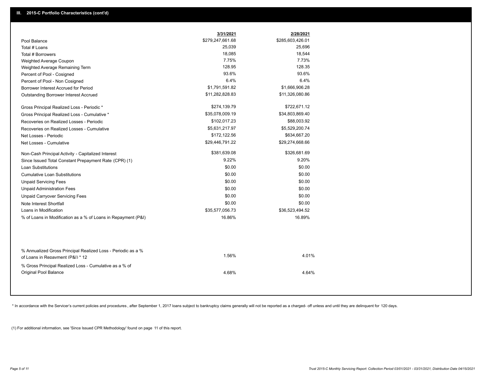|                                                                                                  | 3/31/2021        | 2/28/2021        |
|--------------------------------------------------------------------------------------------------|------------------|------------------|
| Pool Balance                                                                                     | \$279,247,661.68 | \$285,603,426.01 |
| Total # Loans                                                                                    | 25,039           | 25,696           |
| Total # Borrowers                                                                                | 18,085           | 18,544           |
| Weighted Average Coupon                                                                          | 7.75%            | 7.73%            |
| Weighted Average Remaining Term                                                                  | 128.95           | 128.35           |
| Percent of Pool - Cosigned                                                                       | 93.6%            | 93.6%            |
| Percent of Pool - Non Cosigned                                                                   | 6.4%             | 6.4%             |
| Borrower Interest Accrued for Period                                                             | \$1,791,591.82   | \$1,666,906.28   |
| Outstanding Borrower Interest Accrued                                                            | \$11,282,828.83  | \$11,326,080.86  |
| Gross Principal Realized Loss - Periodic *                                                       | \$274,139.79     | \$722,671.12     |
| Gross Principal Realized Loss - Cumulative *                                                     | \$35,078,009.19  | \$34,803,869.40  |
| Recoveries on Realized Losses - Periodic                                                         | \$102,017.23     | \$88,003.92      |
| Recoveries on Realized Losses - Cumulative                                                       | \$5,631,217.97   | \$5,529,200.74   |
| Net Losses - Periodic                                                                            | \$172,122.56     | \$634,667.20     |
| Net Losses - Cumulative                                                                          | \$29,446,791.22  | \$29,274,668.66  |
| Non-Cash Principal Activity - Capitalized Interest                                               | \$381,639.08     | \$326,681.69     |
| Since Issued Total Constant Prepayment Rate (CPR) (1)                                            | 9.22%            | 9.20%            |
| <b>Loan Substitutions</b>                                                                        | \$0.00           | \$0.00           |
| <b>Cumulative Loan Substitutions</b>                                                             | \$0.00           | \$0.00           |
| <b>Unpaid Servicing Fees</b>                                                                     | \$0.00           | \$0.00           |
| <b>Unpaid Administration Fees</b>                                                                | \$0.00           | \$0.00           |
| <b>Unpaid Carryover Servicing Fees</b>                                                           | \$0.00           | \$0.00           |
| Note Interest Shortfall                                                                          | \$0.00           | \$0.00           |
| Loans in Modification                                                                            | \$35,577,056.73  | \$36,523,494.52  |
| % of Loans in Modification as a % of Loans in Repayment (P&I)                                    | 16.86%           | 16.89%           |
|                                                                                                  |                  |                  |
| % Annualized Gross Principal Realized Loss - Periodic as a %<br>of Loans in Repayment (P&I) * 12 | 1.56%            | 4.01%            |
| % Gross Principal Realized Loss - Cumulative as a % of<br><b>Original Pool Balance</b>           | 4.68%            | 4.64%            |

\* In accordance with the Servicer's current policies and procedures, after September 1, 2017 loans subject to bankruptcy claims generally will not be reported as a charged- off unless and until they are delinquent for 120

(1) For additional information, see 'Since Issued CPR Methodology' found on page 11 of this report.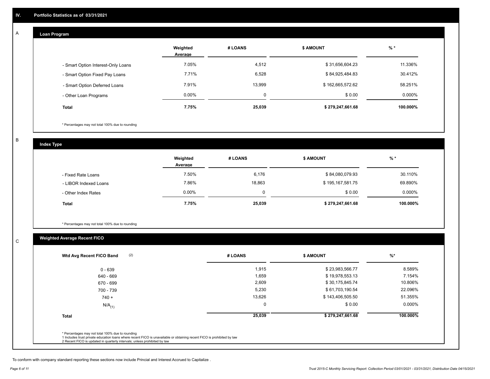## **Loan Program**

A

|                                    | Weighted<br>Average | # LOANS | <b>\$ AMOUNT</b> | % *      |
|------------------------------------|---------------------|---------|------------------|----------|
| - Smart Option Interest-Only Loans | 7.05%               | 4,512   | \$31,656,604.23  | 11.336%  |
| - Smart Option Fixed Pay Loans     | 7.71%               | 6,528   | \$84,925,484.83  | 30.412%  |
| - Smart Option Deferred Loans      | 7.91%               | 13,999  | \$162,665,572.62 | 58.251%  |
| - Other Loan Programs              | $0.00\%$            | ۵       | \$0.00           | 0.000%   |
| <b>Total</b>                       | 7.75%               | 25,039  | \$279,247,661.68 | 100.000% |

\* Percentages may not total 100% due to rounding

B

C

**Index Type**

|                       | Weighted<br>Average | # LOANS | \$ AMOUNT        | % *      |
|-----------------------|---------------------|---------|------------------|----------|
| - Fixed Rate Loans    | 7.50%               | 6,176   | \$84,080,079.93  | 30.110%  |
| - LIBOR Indexed Loans | 7.86%               | 18,863  | \$195,167,581.75 | 69.890%  |
| - Other Index Rates   | $0.00\%$            | 0       | \$0.00           | 0.000%   |
| <b>Total</b>          | 7.75%               | 25,039  | \$279,247,661.68 | 100.000% |

\* Percentages may not total 100% due to rounding

# **Weighted Average Recent FICO**

| $0 - 639$<br>640 - 669<br>670 - 699 | 1,915<br>1,659<br>2,609 | \$23,983,566.77<br>\$19,978,553.13<br>\$30,175,845.74 | 8.589%<br>7.154% |
|-------------------------------------|-------------------------|-------------------------------------------------------|------------------|
|                                     |                         |                                                       |                  |
|                                     |                         |                                                       |                  |
|                                     |                         |                                                       | 10.806%          |
| 700 - 739                           | 5,230                   | \$61,703,190.54                                       | 22.096%          |
| $740 +$                             | 13,626                  | \$143,406,505.50                                      | 51.355%          |
| $N/A$ <sub>(1)</sub>                | $\mathbf 0$             | \$0.00                                                | 0.000%           |
| <b>Total</b>                        | 25,039                  | \$279,247,661.68                                      | 100.000%         |

To conform with company standard reporting these sections now include Princial and Interest Accrued to Capitalize .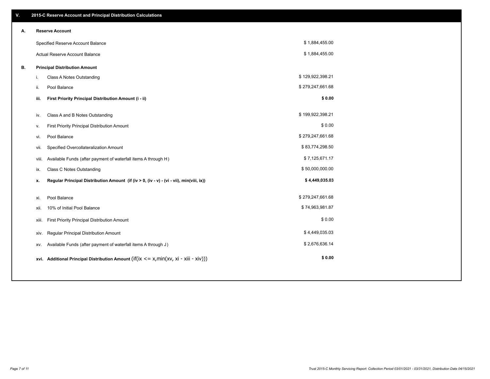| V. |       | 2015-C Reserve Account and Principal Distribution Calculations                           |                  |  |
|----|-------|------------------------------------------------------------------------------------------|------------------|--|
| А. |       | <b>Reserve Account</b>                                                                   |                  |  |
|    |       | Specified Reserve Account Balance                                                        | \$1,884,455.00   |  |
|    |       | Actual Reserve Account Balance                                                           | \$1,884,455.00   |  |
| В. |       | <b>Principal Distribution Amount</b>                                                     |                  |  |
|    | i.    | Class A Notes Outstanding                                                                | \$129,922,398.21 |  |
|    | ii.   | Pool Balance                                                                             | \$279,247,661.68 |  |
|    | iii.  | First Priority Principal Distribution Amount (i - ii)                                    | \$0.00           |  |
|    |       |                                                                                          | \$199,922,398.21 |  |
|    | iv.   | Class A and B Notes Outstanding                                                          | \$0.00           |  |
|    | v.    | First Priority Principal Distribution Amount                                             |                  |  |
|    | vi.   | Pool Balance                                                                             | \$279,247,661.68 |  |
|    | vii.  | Specified Overcollateralization Amount                                                   | \$83,774,298.50  |  |
|    | viii. | Available Funds (after payment of waterfall items A through H)                           | \$7,125,671.17   |  |
|    | ix.   | <b>Class C Notes Outstanding</b>                                                         | \$50,000,000.00  |  |
|    | x.    | Regular Principal Distribution Amount (if (iv > 0, (iv - v) - (vi - vii), min(viii, ix)) | \$4,449,035.03   |  |
|    | xi.   | Pool Balance                                                                             | \$279,247,661.68 |  |
|    | xii.  | 10% of Initial Pool Balance                                                              | \$74,963,981.87  |  |
|    | xiii. | First Priority Principal Distribution Amount                                             | \$0.00           |  |
|    |       |                                                                                          |                  |  |
|    | xiv.  | Regular Principal Distribution Amount                                                    | \$4,449,035.03   |  |
|    | XV.   | Available Funds (after payment of waterfall items A through J)                           | \$2,676,636.14   |  |
|    |       | xvi. Additional Principal Distribution Amount (if(ix <= x,min(xv, xi - xiii - xiv)))     | \$0.00           |  |
|    |       |                                                                                          |                  |  |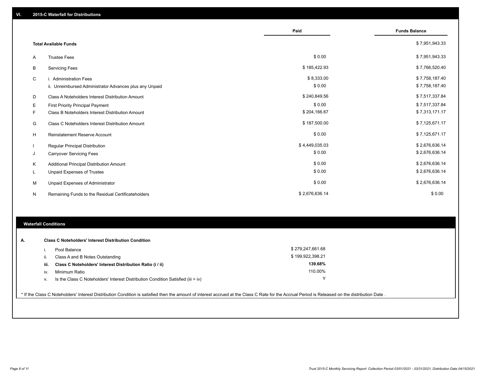|   |                                                         | Paid           | <b>Funds Balance</b> |
|---|---------------------------------------------------------|----------------|----------------------|
|   | <b>Total Available Funds</b>                            |                | \$7,951,943.33       |
| Α | <b>Trustee Fees</b>                                     | \$0.00         | \$7,951,943.33       |
| B | <b>Servicing Fees</b>                                   | \$185,422.93   | \$7,766,520.40       |
| C | i. Administration Fees                                  | \$8,333.00     | \$7,758,187.40       |
|   | ii. Unreimbursed Administrator Advances plus any Unpaid | \$0.00         | \$7,758,187.40       |
| D | Class A Noteholders Interest Distribution Amount        | \$240,849.56   | \$7,517,337.84       |
| Е | <b>First Priority Principal Payment</b>                 | \$0.00         | \$7,517,337.84       |
| F | Class B Noteholders Interest Distribution Amount        | \$204,166.67   | \$7,313,171.17       |
| G | <b>Class C Noteholders Interest Distribution Amount</b> | \$187,500.00   | \$7,125,671.17       |
| H | Reinstatement Reserve Account                           | \$0.00         | \$7,125,671.17       |
|   | <b>Regular Principal Distribution</b>                   | \$4,449,035.03 | \$2,676,636.14       |
| J | <b>Carryover Servicing Fees</b>                         | \$0.00         | \$2,676,636.14       |
| Κ | Additional Principal Distribution Amount                | \$0.00         | \$2,676,636.14       |
| L | Unpaid Expenses of Trustee                              | \$0.00         | \$2,676,636.14       |
| м | Unpaid Expenses of Administrator                        | \$0.00         | \$2,676,636.14       |
| N | Remaining Funds to the Residual Certificateholders      | \$2,676,636.14 | \$0.00               |

### **Waterfall Conditions**

| А. | <b>Class C Noteholders' Interest Distribution Condition</b>                                                                                                                                      |                                                                                    |                  |
|----|--------------------------------------------------------------------------------------------------------------------------------------------------------------------------------------------------|------------------------------------------------------------------------------------|------------------|
|    |                                                                                                                                                                                                  | Pool Balance                                                                       | \$279,247,661.68 |
|    | ii.                                                                                                                                                                                              | Class A and B Notes Outstanding                                                    | \$199,922,398.21 |
|    | iii.                                                                                                                                                                                             | Class C Noteholders' Interest Distribution Ratio (i / ii)                          | 139.68%          |
|    | iv.                                                                                                                                                                                              | Minimum Ratio                                                                      | 110.00%          |
|    | v.                                                                                                                                                                                               | Is the Class C Noteholders' Interest Distribution Condition Satisfied (iii $>$ iv) | $\check{ }$      |
|    |                                                                                                                                                                                                  |                                                                                    |                  |
|    | * If the Class C Noteholders' Interest Distribution Condition is satisfied then the amount of interest accrued at the Class C Rate for the Accrual Period is Released on the distribution Date . |                                                                                    |                  |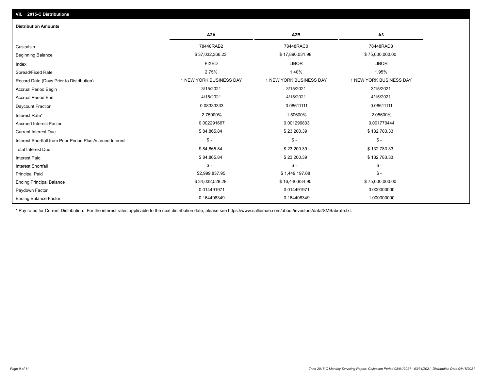# Ending Balance Factor Paydown Factor 0.014491971 0.014491971 0.000000000 Ending Principal Balance \$ 75,000,000.00 \$ \$ 34,032,528.28 \$ \$ 34,032,528.28 \$ 16,440,834.90 Principal Paid \$2,999,837.95 \$ 1,449,197.08 \$ - \$ - \$ - \$ - Interest Shortfall \$ 84,865.84 \$ 23,200.39 \$ 132,783.33 Interest Paid Total Interest Due \$ 84,865.84 \$ 23,200.39 \$ 132,783.33 \$ - \$ - \$ - Interest Shortfall from Prior Period Plus Accrued Interest Eurrent Interest Due \$ 132,783.33 \$ \$ 132,783.33 \$ \$ 23,200.39 \$ 23,200.39 Accrued Interest Factor 0.002291667 0.001296833 0.001770444 Interest Rate\* 2.75000% 1.50600% 2.05600% Daycount Fraction 0.08333333 0.08611111 0.08611111 Accrual Period End 4/15/2021 4/15/2021 4/15/2021 Accrual Period Begin 3/15/2021 3/15/2021 3/15/2021 Record Date (Days Prior to Distribution) **1 NEW YORK BUSINESS DAY** 1 NEW YORK BUSINESS DAY 1 NEW YORK BUSINESS DAY Spread/Fixed Rate 2.75% 1.40% 1.95% Index FIXED LIBOR LIBOR Beginning Balance \$ 37,032,366.23 \$ \$ 17,890,031.98 \$ \$ 37,032,366.23 \$ \$ 75,000,000.00 Cusip/Isin 78448RAB2 78448RAC0 78448RAD8 **A2A A2B A3** 0.164408349 0.164408349 1.000000000 **Distribution Amounts**

\* Pay rates for Current Distribution. For the interest rates applicable to the next distribution date, please see https://www.salliemae.com/about/investors/data/SMBabrate.txt.

**VII. 2015-C Distributions**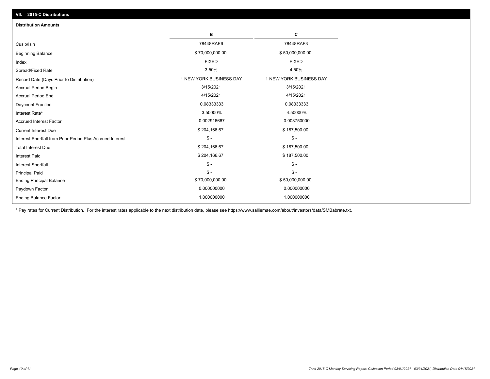| VII. 2015-C Distributions                                  |                         |                         |  |  |  |
|------------------------------------------------------------|-------------------------|-------------------------|--|--|--|
| <b>Distribution Amounts</b>                                |                         |                         |  |  |  |
|                                                            | в                       | С                       |  |  |  |
| Cusip/Isin                                                 | 78448RAE6               | 78448RAF3               |  |  |  |
| <b>Beginning Balance</b>                                   | \$70,000,000.00         | \$50,000,000.00         |  |  |  |
| Index                                                      | <b>FIXED</b>            | <b>FIXED</b>            |  |  |  |
| Spread/Fixed Rate                                          | 3.50%                   | 4.50%                   |  |  |  |
| Record Date (Days Prior to Distribution)                   | 1 NEW YORK BUSINESS DAY | 1 NEW YORK BUSINESS DAY |  |  |  |
| <b>Accrual Period Begin</b>                                | 3/15/2021               | 3/15/2021               |  |  |  |
| <b>Accrual Period End</b>                                  | 4/15/2021               | 4/15/2021               |  |  |  |
| Daycount Fraction                                          | 0.08333333              | 0.08333333              |  |  |  |
| Interest Rate*                                             | 3.50000%                | 4.50000%                |  |  |  |
| <b>Accrued Interest Factor</b>                             | 0.002916667             | 0.003750000             |  |  |  |
| <b>Current Interest Due</b>                                | \$204,166.67            | \$187,500.00            |  |  |  |
| Interest Shortfall from Prior Period Plus Accrued Interest | $\frac{1}{2}$           | $\mathsf{\$}$ -         |  |  |  |
| <b>Total Interest Due</b>                                  | \$204,166.67            | \$187,500.00            |  |  |  |
| Interest Paid                                              | \$204,166.67            | \$187,500.00            |  |  |  |
| Interest Shortfall                                         | $$ -$                   | $\frac{1}{2}$           |  |  |  |
| <b>Principal Paid</b>                                      | $\mathsf{\$}$ -         | $$ -$                   |  |  |  |
| <b>Ending Principal Balance</b>                            | \$70,000,000.00         | \$50,000,000.00         |  |  |  |
| Paydown Factor                                             | 0.000000000             | 0.000000000             |  |  |  |
| <b>Ending Balance Factor</b>                               | 1.000000000             | 1.000000000             |  |  |  |

\* Pay rates for Current Distribution. For the interest rates applicable to the next distribution date, please see https://www.salliemae.com/about/investors/data/SMBabrate.txt.